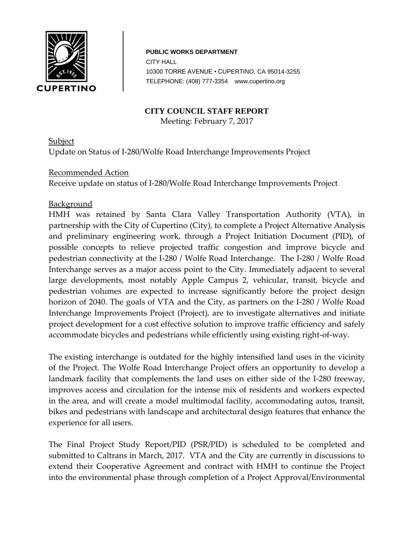

**PUBLIC WORKS DEPARTMENT** CITY HALL 10 10300 TORRE AVENUE • CUPERTINO, CA 95014-3255 TELEPHONE: (408) 777-3354 www.cupertino.org

#### **CITY COUNCIL STAFF REPORT**

Meeting: February 7, 2017

**Subject** Update on Status of I-280/Wolfe Road Interchange Improvements Project

#### Recommended Action

Receive update on status of I-280/Wolfe Road Interchange Improvements Project

#### **Background**

HMH was retained by Santa Clara Valley Transportation Authority (VTA), in partnership with the City of Cupertino (City), to complete a Project Alternative Analysis and preliminary engineering work, through a Project Initiation Document (PID), of possible concepts to relieve projected traffic congestion and improve bicycle and pedestrian connectivity at the I-280 / Wolfe Road Interchange. The I-280 / Wolfe Road Interchange serves as a major access point to the City. Immediately adjacent to several large developments, most notably Apple Campus 2, vehicular, transit, bicycle and pedestrian volumes are expected to increase significantly before the project design horizon of 2040. The goals of VTA and the City, as partners on the I-280 / Wolfe Road Interchange Improvements Project (Project), are to investigate alternatives and initiate project development for a cost effective solution to improve traffic efficiency and safely accommodate bicycles and pedestrians while efficiently using existing right-of-way.

The existing interchange is outdated for the highly intensified land uses in the vicinity of the Project. The Wolfe Road Interchange Project offers an opportunity to develop a landmark facility that complements the land uses on either side of the I-280 freeway, improves access and circulation for the intense mix of residents and workers expected in the area, and will create a model multimodal facility, accommodating autos, transit, bikes and pedestrians with landscape and architectural design features that enhance the experience for all users.

The Final Project Study Report/PID (PSR/PID) is scheduled to be completed and submitted to Caltrans in March, 2017. VTA and the City are currently in discussions to extend their Cooperative Agreement and contract with HMH to continue the Project into the environmental phase through completion of a Project Approval/Environmental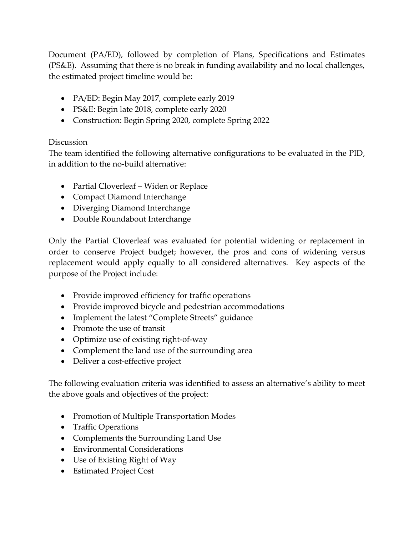Document (PA/ED), followed by completion of Plans, Specifications and Estimates (PS&E). Assuming that there is no break in funding availability and no local challenges, the estimated project timeline would be:

- PA/ED: Begin May 2017, complete early 2019
- PS&E: Begin late 2018, complete early 2020
- Construction: Begin Spring 2020, complete Spring 2022

# **Discussion**

The team identified the following alternative configurations to be evaluated in the PID, in addition to the no-build alternative:

- Partial Cloverleaf Widen or Replace
- Compact Diamond Interchange
- Diverging Diamond Interchange
- Double Roundabout Interchange

Only the Partial Cloverleaf was evaluated for potential widening or replacement in order to conserve Project budget; however, the pros and cons of widening versus replacement would apply equally to all considered alternatives. Key aspects of the purpose of the Project include:

- Provide improved efficiency for traffic operations
- Provide improved bicycle and pedestrian accommodations
- Implement the latest "Complete Streets" guidance
- Promote the use of transit
- Optimize use of existing right-of-way
- Complement the land use of the surrounding area
- Deliver a cost-effective project

The following evaluation criteria was identified to assess an alternative's ability to meet the above goals and objectives of the project:

- Promotion of Multiple Transportation Modes
- Traffic Operations
- Complements the Surrounding Land Use
- Environmental Considerations
- Use of Existing Right of Way
- Estimated Project Cost